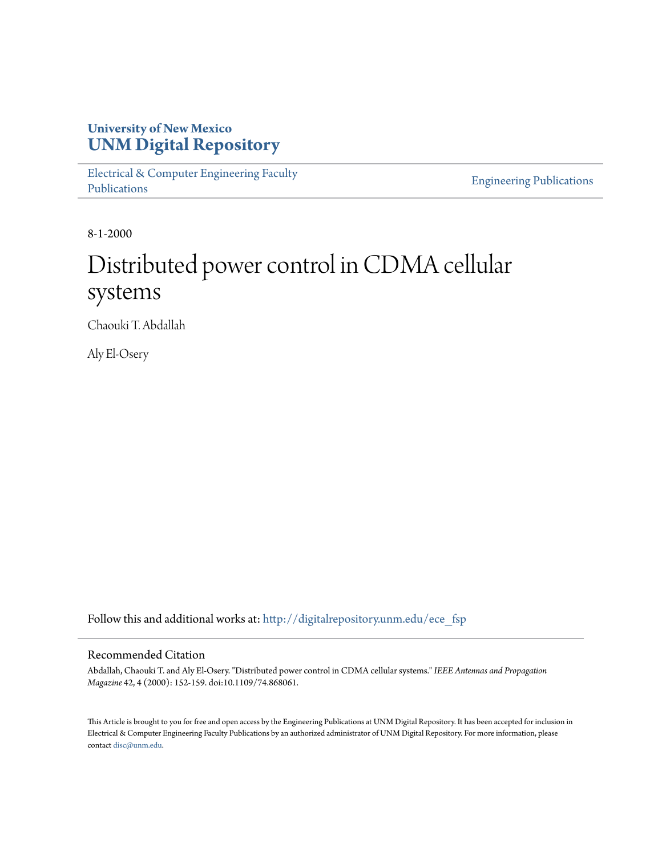### **University of New Mexico [UNM Digital Repository](http://digitalrepository.unm.edu?utm_source=digitalrepository.unm.edu%2Fece_fsp%2F168&utm_medium=PDF&utm_campaign=PDFCoverPages)**

[Electrical & Computer Engineering Faculty](http://digitalrepository.unm.edu/ece_fsp?utm_source=digitalrepository.unm.edu%2Fece_fsp%2F168&utm_medium=PDF&utm_campaign=PDFCoverPages) [Publications](http://digitalrepository.unm.edu/ece_fsp?utm_source=digitalrepository.unm.edu%2Fece_fsp%2F168&utm_medium=PDF&utm_campaign=PDFCoverPages)

[Engineering Publications](http://digitalrepository.unm.edu/eng_fsp?utm_source=digitalrepository.unm.edu%2Fece_fsp%2F168&utm_medium=PDF&utm_campaign=PDFCoverPages)

8-1-2000

# Distributed power control in CDMA cellular systems

Chaouki T. Abdallah

Aly El-Osery

Follow this and additional works at: [http://digitalrepository.unm.edu/ece\\_fsp](http://digitalrepository.unm.edu/ece_fsp?utm_source=digitalrepository.unm.edu%2Fece_fsp%2F168&utm_medium=PDF&utm_campaign=PDFCoverPages)

#### Recommended Citation

Abdallah, Chaouki T. and Aly El-Osery. "Distributed power control in CDMA cellular systems." *IEEE Antennas and Propagation Magazine* 42, 4 (2000): 152-159. doi:10.1109/74.868061.

This Article is brought to you for free and open access by the Engineering Publications at UNM Digital Repository. It has been accepted for inclusion in Electrical & Computer Engineering Faculty Publications by an authorized administrator of UNM Digital Repository. For more information, please contact [disc@unm.edu.](mailto:disc@unm.edu)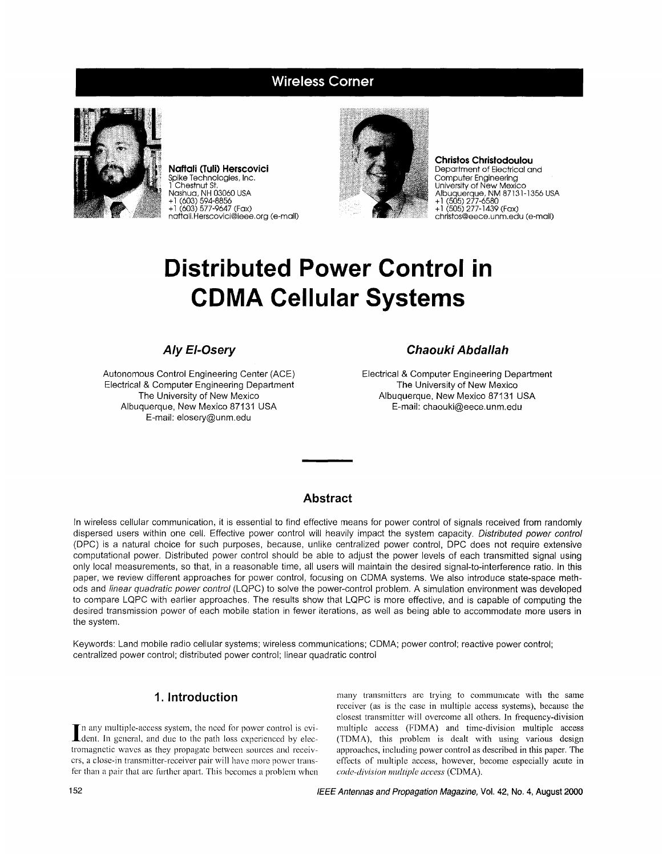### **Wireless Corner**



**Naftali (Tuli) Herscovici**  Spike Technologies, Inc. Chestnut St Nashua, NH 03060 USA +I (603) 594-8856 naftali.Herscovici@ieee.org (e-mail)



**Christos Christodoulou**  Department of Electrical and<br>Computer Engineering Computer Engineering<br>University of New Mexico<br>Albuquerque, NM 87131-1356 USA

+1 (505) 277-6580<br>+1 (505) 277-1439 (Fax)<br>[christos@eece.unm.ed](mailto:christos@eece.unm.edu)u (e-mail)

## **Distributed Power Control in CDMA Cellular Svstems**

#### *Aly El-Osery*

Autonomous Control Engineering Center (ACE) Electrical & Computer Engineering Department The University of New Mexico Albuquerque, New Mexico 87131 USA E-mail: [elosery@unm.edu](mailto:elosery@unm.edu)

#### *Chaouki Abdallah*

Electrical & Computer Engineering Department The University of New Mexico Albuquerque, New Mexico 87131 USA E-mail: [chaouki@eece.unm.edu](mailto:chaouki@eece.unm.edu)

#### **Abstract**

In wireless cellular communication, it is essential to find effective means for power control of signals received from randomly dispersed users within one cell. Effective power control will heavily impact the system capacity. *Distributed power control*  (DPC) is a natural choice for such purposes, because, unlike centralized power control, DPC does not require extensive computational power. Distributed power control should be able to adjust the power levels of each transmitted signal using only local measurements, so that, in a reasonable time, all users will maintain the desired signal-to-interference ratio. In this paper, we review different approaches for power control, focusing on CDMA systems. We also introduce state-space methods and *linear quadratic power control* (LQPC) to solve the power-control problem. A simulation environment was developed to compare LQPC with earlier approaches. The results show that LQPC is more effective, and is capable of computing the desired transmission power of each mobile station in fewer iterations, as well as being able to accommodate more users in the system.

Keywords: Land mobile radio cellular systems; wireless communications; CDMA; power control; reactive power control; centralized power control; distributed power control; linear quadratic control

tromagnetic waves as they propagate between sources and receivcrs, a close-in transmitter-receiver pair will have more power transfer than a pair that arc further apart. This becomes a problem when

**1. Introduction many** transmitters are trying to communicate with the same receiver (as is thc case in niultiple access systems), because the closest transmitter will overcome all others. In frequency-division In any multiple-access system, the need for power control is evi-<br> **I** and time-division multiple access<br>
(TDMA), this problem is dealt with using various design<br> **I** dent. In general, and due to the path loss experienced (TDMA), this problem is dealt with using various design approachcs, including power control as described in this paper. The effects of multiple access, however, become especially acute in *corle-division niultiple mcess* (CDMA).

152 */€€E Antennas and Propagation Magazine,* Vol. 42, No. 4, August 2000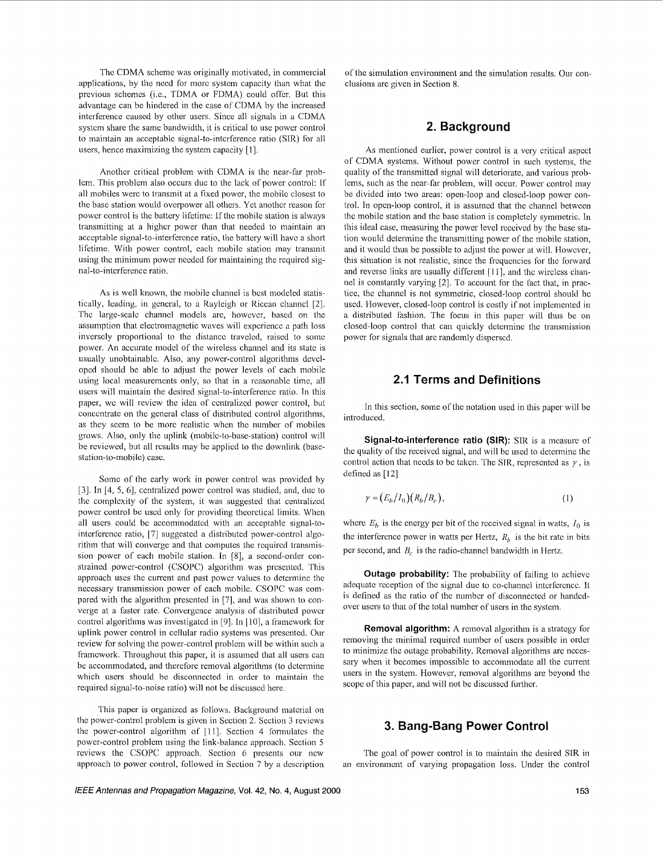Thc CDMA scheme was originally motivated, in commercial applications, by the need for more systcm capacity than what the previous schemes (i.e., TDMA or FDMA) could offer. But this advantage can be hindered in the case of CDMA by the increased interference caused by other users. Since all signals in a CDMA systcm share the same bandwidth, it is critical to use power control to maintain an acceptable signal-to-intcrference ratio (SIR) for all users, hence maximizing the system capacity [I].

Another critical problem with CDMA is thc near-far problem. This problcm also occurs due to the lack of power control: If all mobiles werc to transmit at a fixed power, the mobilc closest to thc base station would overpower all others. Yet another reason for power control is the battery lifetime: If the mobile station is always transmitting at a higher power than that needed to maintain an acceptable signal-to-interfercnce ratio, the battery will have a short lifetime. With power control, cach mobile station may transmit using the minimum powcr needed for maintaining the required signal-to-interference ratio.

As is well known, the mobile channel is best modeled statistically, Icading, in gcneral, to a Rayleigh or Ricean channcl [2]. Thc largc-scalc channel models are, however, bascd on the assumption that electromagnetic waves will expcrience a path loss inversely proportional to the distance traveled, raised to some power. An accurate model of the wireless channel and its state is usually unobtainablc. Also, any power-control algorithms devclopcd should be able to adjust the powcr levels of each mobile using local measurements only, so that in a reasonable timc, all users will maintain the desired signal-to-interference ratio. In this paper, we will review the idea of ccntralizcd powcr control, but conccntratc on thc general class of distributed control algorithms, as they scem to be more realistic when thc number of mobiles grows. Also, only the uplink (mobilc-to-base-station) control will be reviewed, but all results may be applied to the downlink (basestation-to-mobile) case.

Some of the early work in power control was provided by [3]. In [4, 5, 6], centralized power control was studied, and, duc to thc complexity of the system, it was suggested that centralizcd power control be uscd only for providing theoretical limits. When all users could be accommodated with an acceptable signal-tointerference ratio, [7] suggested a distributed power-control algorithm that will converge and that computes the required transmission power of each mobilc station. In [8], a second-order constrained powcr-control (CSOPC) algorithm was presented. This approach uses the current and past power values to determine the necessary transmission power of each mobile. CSOPC was compared with the algorithm presented in [7], and was shown to converge at a faster rate. Convergence analysis of distributed power control algorithms was investigated in [9]. In [10], a framework for uplink power control in cellular radio systems was presented. Our review for solving the power-control problem will be within such a framework. Throughout this paper, it is assumed that all users can be accommodated, and therefore removal algorithms (to determine which users should be disconnected in order to maintain the required signal-to-noise ratio) will not be discussed here.

This paper is organized as follows. Background material on the power-control problcm is given in Section 2. Section 3 reviews the power-control algorithm of  $[11]$ . Section 4 formulates the power-control problem using the link-balance approach. Section 5 reviews the CSOPC approach. Section 6 presents our ncw approach to powcr control, followed in Section 7 by a dcscription of the simulation environment and the simulation results. Our conclusions are given in Section 8.

#### **2. Background**

As mentioned earlier, power control is a very critical aspect of CDMA systems. Without power control in such systems, the quality of the transmitted signal will deteriorate, and various problems, such as the near-far problem, will occur. Power control may be divided into two areas: open-loop and closed-loop power control. In open-loop control, it is assumcd that the channel between the mobile station and the base station is completely symmetric. In this ideal case, measuring the powcr level received by the base station would determine the transmitting power of the mobile station, and it would thus be possible to adjust the powcr at will. However, this situation is not realistic, since the frequencies for the forward and reversc links are usually different [I 11, **and** thc wircless channel is constantly varying [2]. To account for the Fact that, in practice, the channel is not symmetric, closed-loop control should be used. However, closed-loop control is costly if not implemented in a distributed fashion. The focus in this paper will thus be on closed-loop control that can quickly determine the transmission power for signals that are randomly dispcrscd.

#### **2.1 Terms and Definitions**

In this section, some of the notation used in this paper will be introduccd.

**Signal-to-interference ratio (SIR):** SIR is a measure of the quality of the received signal, and will bc used to determine the control action that needs to be taken. The SIR, represented as  $\gamma$ , is defined as [12]

$$
\gamma = (E_b/I_0)(R_b/B_c),\tag{1}
$$

where  $E_b$  is the energy per bit of the received signal in watts,  $I_0$  is the interference power in watts per Hertz,  $R_b$  is the bit rate in bits per second, and  $B_c$  is the radio-channel bandwidth in Hertz.

**Outage probability:** The probability of failing to achieve adequate reception of the signal due to co-channel interference. It is defined as the ratio of the number of disconnected or handedover users to that of the total number of users in the system.

**Removal algorithm:** A removal algorithm is a strategy for removing the minimal required number of users possible in order to minimize the outage probability. Removal algorithms are nccessary when it becomes impossible to accommodate all the current users in the system. However, removal algorithms are beyond the scope of this paper, and will not bc discusscd further.

#### **3. Bang-Bang Power Control**

The goal of power control is to maintain the desired SIR in an environmcnt of varying propagation loss. Under the control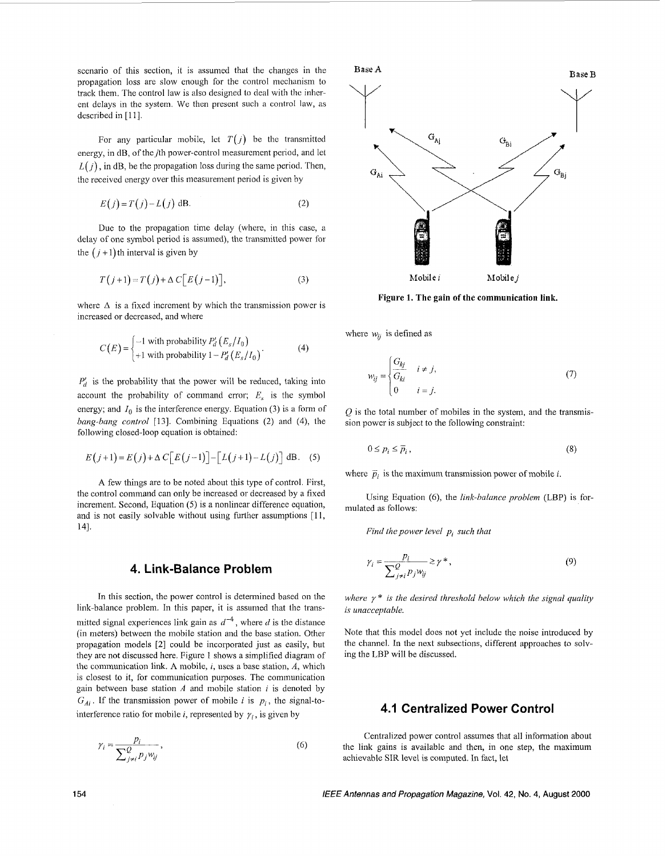scenario of this section, it is assumed that the changes in the propagation loss are slow cnough for the control mechanism to track them. The control law is also designed to deal with the inherent delays in the system. We then present such a control law, as described in [11].

For any particular mobile, let  $T(j)$  be the transmitted energy, in dB, of the jth power-control measurement period, and let  $L(j)$ , in dB, be the propagation loss during the same period. Then, the received energy over this measurement period is given by

$$
E(j) = T(j) - L(j) \text{ dB.}
$$
 (2)

Due to the propagation time delay (where, in this case, a delay of one symbol period is assumed), the transmitted power for the  $(j + 1)$  th interval is given by

$$
T(j+1) = T(j) + \Delta C \Big[ E(j-1) \Big], \tag{3}
$$

where  $\Delta$  is a fixed increment by which the transmission power is increased or decreased, and where

$$
C(E) = \begin{cases} -1 & \text{with probability } P'_d \left( E_s / I_0 \right) \\ +1 & \text{with probability } 1 - P'_d \left( E_s / I_0 \right) \end{cases}
$$
 (4)

 $P'_d$  is the probability that the power will be reduced, taking into account the probability of command error;  $E_s$  is the symbol energy; and  $I_0$  is the interference energy. Equation (3) is a form of *bang-bang control* [13]. Combining Equations (2) and (4), the following closed-loop equation is obtained:

$$
E(j+1) = E(j) + \Delta C \Big[ E(j-1) \Big] - \Big[ L(j+1) - L(j) \Big] d\mathbf{B}.
$$
 (5)

**A** few things are to be noted about this type of control. First, the control command can only be increased or decreased by a fixed increment. Second, Equation *(5)* is a nonlinear difference equation, and is not easily solvable without using further assumptions [11, 141.

#### **4. Link-Balance Problem**

In this section, the power control is detennined based on the link-balance problem. In this paper, it is assumed that the transmitted signal experiences link gain as  $d^{-4}$ , where *d* is the distance (in meters) between the mobile station and the base station. Other propagation models [2] could be incorporated just as easily, but they are not discussed here. Figure 1 shows a simplified diagram of the communication link. A mobile, *i,* uses a base station, *A,* which is closest to it, for communication purposes. The communication gain between base station *A* and mobile station *i* is denoted by  $G_{Ai}$ . If the transmission power of mobile *i* is  $p_i$ , the signal-tointerference ratio for mobile *i*, represented by  $\gamma_i$ , is given by

$$
\gamma_i = \frac{p_i}{\sum_{j \neq i}^Q p_j w_{ij}},\tag{6}
$$



Figure 1. The gain of the communication link.

where  $w_{ii}$  is defined as

$$
w_{ij} = \begin{cases} \frac{G_{kj}}{G_{ki}} & i \neq j, \\ 0 & i = j. \end{cases} \tag{7}
$$

*Q* is the total number of mobiles in the system, and the transmission power is subject to the following constraint:

$$
0 \le p_i \le \overline{p}_i,\tag{8}
$$

where  $\vec{p}_i$  is the maximum transmission power of mobile *i*.

Using Equation *(6),* the *link-balance problem* (LBP) is formulated as follows:

*Find the power level p, such that* 

$$
\gamma_i = \frac{p_i}{\sum_{i \neq i}^Q p_j w_{ij}} \ge \gamma^*,\tag{9}
$$

where  $\gamma^*$  is the desired threshold below which the signal quality *is unacceptable.* 

Note that this model does not yet include the noise introduced by the channel. In the next subsections, different approaches to solving the LBP will be discussed.

#### **4.1 Centralized Power Control**

Centralized power control assumes that all information about the link gains is available and then, in one step, the maximum achievable SIR level is computed. In fact, let

**1** 54 *IEEE Antennas and Propagation Magazine,* Vol. **42,** No. **4, August 2000**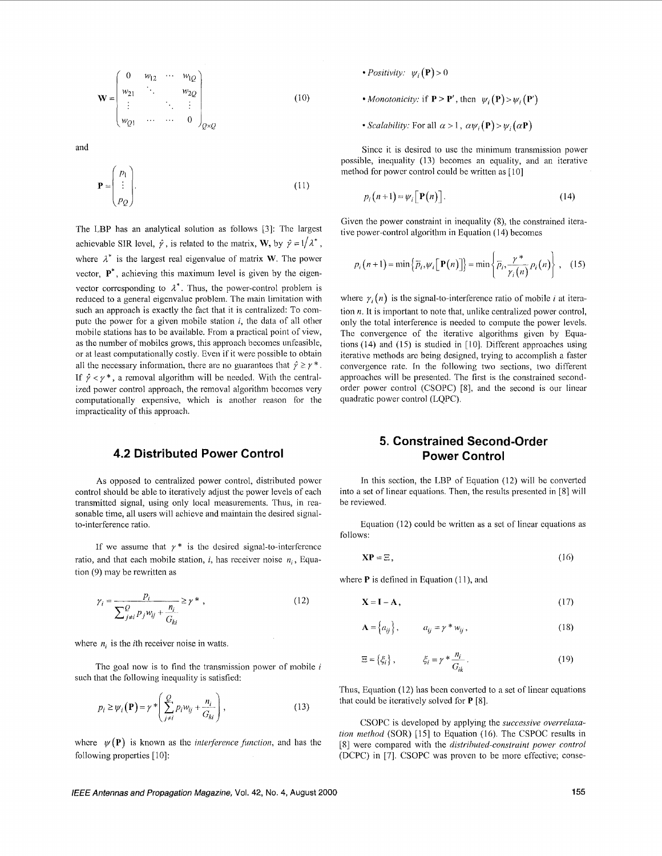$$
\mathbf{W} = \begin{pmatrix} 0 & w_{12} & \cdots & w_{1Q} \\ w_{21} & \ddots & & w_{2Q} \\ \vdots & & \ddots & \vdots \\ w_{Q1} & \cdots & \cdots & 0 \end{pmatrix}_{Q \times Q}
$$
 (10)

and

$$
\mathbf{P} = \begin{pmatrix} P_1 \\ \vdots \\ P_Q \end{pmatrix} . \tag{11}
$$

The LBP has an analytical solution as follows [3]: The largest achievable SIR level,  $\hat{\gamma}$ , is related to the matrix, **W**, by  $\hat{\gamma} = 1/\lambda^*$ , where  $\lambda^*$  is the largest real eigenvalue of matrix **W**. The power vector,  $P^*$ , achieving this maximum level is given by the eigenvector corresponding to  $\lambda^*$ . Thus, the power-control problem is reduced to a general eigenvalue problem. The main limitation with such an approach is exactly the fact that it is centralized: To compute the power for a given mobile station *i,* the data of all other mobile stations has to be available. From a practical point of view, as the number of mobiles grows, this approach becomes unfeasible, or at least computationally costly. Even if it were possible to obtain all the necessary information, there are no guarantees that  $\hat{\gamma} \ge \gamma^*$ . as the number of mobiles grows, this approach becomes unfeasible,<br>or at least computationally costly. Even if it were possible to obtain<br>all the necessary information, there are no guarantees that  $\hat{\gamma} \ge \gamma^*$ .<br>If  $\hat{\gamma}$ ized power control approach, the removal algorithm becomes very computationally expensive, whicli is another reason for the impracticality of this approach.

#### **4.2 Distributed Power Control**

**As** opposed to centralizcd power control, distributed powcr control should be able to iteratively adjust the power levels of each transmitted signal, using only local measurements. Thus, in reasonable time, all users will achieve and maintain the desired signalto-interference ratio.

If we assume that  $\gamma^*$  is the desired signal-to-interference ratio, and that each mobile station,  $i$ , has receiver noise  $n_i$ , Equation (9) may be rewritten as

$$
\gamma_i = \frac{p_i}{\sum_{j \neq i}^Q p_j w_{ij} + \frac{n_i}{G_{ki}}} \ge \gamma^*,\tag{12}
$$

where  $n_i$  is the *i*th receiver noise in watts.

The goal now is to find the transmission power of mobile *i* such that the following inequality is satisfied:

$$
p_i \ge \psi_i(\mathbf{P}) = \gamma^* \left( \sum_{j \ne i}^Q p_i w_{ij} + \frac{n_i}{G_{ki}} \right), \tag{13}
$$

where  $\psi(\mathbf{P})$  is known as the *interference function*, and has the following properties [10]:

- *Positivity:*  $\psi_i(\mathbf{P}) > 0$ • *Monotonicity:* if  $P > P'$ , then  $\psi_i(P) > \psi_i(P')$
- Scalability: For all  $\alpha > 1$ ,  $\alpha \psi_i(\mathbf{P}) > \psi_i(\alpha \mathbf{P})$

Since it is desired to use the minimum transmission power possible, inequality **(1** *3)* hccomes an equality, and an iterative method for power control could be written as [10]

$$
p_i(n+1) = \psi_i \left[ \mathbf{P}(n) \right]. \tag{14}
$$

Given the power constraint in inequality **(8),** the constrained iterative power-control algorithm in Equation (14) becomes

$$
p_i(n+1) = \min\left\{\overline{p}_i, \psi_i\Big[\mathbf{P}(n)\Big]\right\} = \min\left\{\overline{p}_i, \frac{\gamma^*}{\gamma_i(n)}p_i(n)\right\}, \quad (15)
$$

where  $\gamma_i(n)$  is the signal-to-interference ratio of mobile *i* at iteration *n*. It is important to note that, unlike centralized power control, only the total interferencc is needed to compute the power levels. The convergence of the iterative algorithms given by Equations  $(14)$  and  $(15)$  is studied in  $[10]$ . Different approaches using iterative methods are being designed, trying to accomplish a faster convergence rate. In the following two sections, two different approaches will be presented. The first is the constrained secondorder power control (CSOPC) [8], and the second is our linear quadratic power control (LQPC).

#### **5. Constrained Second-Order Power Control**

In this scction, the LBP of Equation (12) will be converted into a set of linear equations. Then, the results presented in [8] will be reviewed.

Equation (12) could be written as a set of linear equations as follows:

$$
\mathbf{XP} = \Xi \,,\tag{16}
$$

where **P** is defined in Equation (11), and

$$
\mathbf{X} = \mathbf{I} - \mathbf{A},\tag{17}
$$

$$
\mathbf{A} = \left\{ a_{ij} \right\}, \qquad a_{ij} = \gamma \cdot w_{ij}, \tag{18}
$$

$$
\Xi = \left\{ \xi_i \right\}, \qquad \xi_i = \gamma \ast \frac{n_i}{G_{ik}}. \tag{19}
$$

Thus, Equation (12) has been converted to a set of linear equations that could be iteratively solved for **P** [SI.

CSOPC is developed by applying the *successive overrelaxation method* (SOR) [15] to Equation (16). The CSPOC results in [8] were compared with the *distributed-constraint power control*  (DCPC) in [7]. CSOPC was provcn to be more effective; conse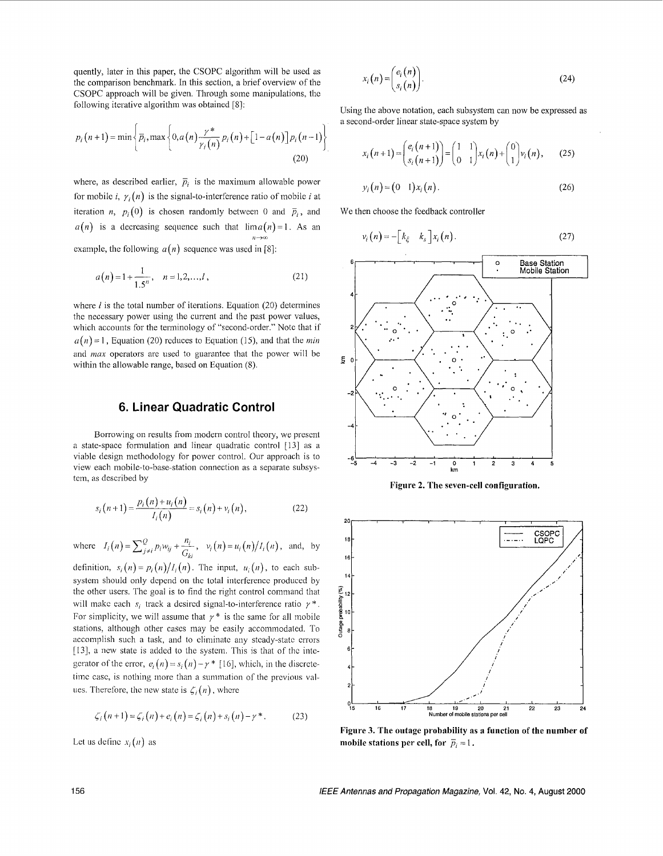quently, later in this paper, the CSOPC algorithm will be used as the comparison benchmark. In this section, a brief overview of the CSOPC approach will be given. Through some manipulations, the following iterative algorithm was obtained [8]:

$$
p_i(n+1) = \min\left\{\bar{p}_i, \max\left\{0, a(n) \frac{\gamma^*}{\gamma_i(n)} p_i(n) + \left[1 - a(n)\right] p_i(n-1)\right\}\right\}
$$
(20)

where, as described earlier,  $\bar{p}_i$  is the maximum allowable power for mobile *i*,  $\gamma_i(n)$  is the signal-to-interference ratio of mobile *i* at iteration *n*,  $p_i(0)$  is chosen randomly between 0 and  $\bar{p}_i$ , and  $a(n)$  is a decreasing sequence such that  $\lim a(n) = 1$ . As an  $n \rightarrow$ 

example, the following  $a(n)$  sequence was used in [8]:

The following equation is a decreasing sequence such that 
$$
\lim_{n \to \infty} (n) = 1
$$
. As the following  $a(n)$  sequence was used in [8]:  $a(n) = 1 + \frac{1}{1.5^n}$ ,  $n = 1, 2, \ldots, l$ ,  $(21)$ 

where  $l$  is the total number of iterations. Equation (20) determines the necessary power using the current and the past power values, which accounts for the terminology of "second-order.'' Note that if  $a(n) = 1$ , Equation (20) reduces to Equation (15), and that the *min* and *max* operators are used to guarantee that the power will be within the allowable range, bascd on Equation (8).

#### **6. Linear Quadratic Control**

Borrowing on results fiom modern control thcory, we present a state-space fonnulation and linear quadratic control [13] as a viable design methodology for power control. Our approach is to view each mobile-to-base-station connection as a separate subsystcm, as described by

$$
s_i(n+1) = \frac{p_i(n) + u_i(n)}{I_i(n)} = s_i(n) + v_i(n),
$$
 (22)

where 
$$
I_i(n) = \sum_{j \neq i}^{Q} p_i w_{ij} + \frac{n_i}{G_{ki}}
$$
,  $v_i(n) = u_i(n)/I_i(n)$ , and, by

definition,  $s_i(n) = p_i(n)/I_i(n)$ . The input,  $u_i(n)$ , to each subsystem should only depend on thc total interference produced by the other users. The goal is to find the right control command that will make each  $s_i$  track a desired signal-to-interference ratio  $\gamma^*$ . For simplicity, we will assume that  $\gamma^*$  is the same for all mobile stations, although other cases may be easily accommodated. To accomplish such a task, and to climinatc any steady-statc crrors [13], a new state is added to the system. This is that of the integerator of the error,  $e_i(n) = s_i(n) - \gamma^*$  [16], which, in the discretetime case, is nothing more than a summation of the previous values. Therefore, the new state is  $\zeta_i(n)$ , where

$$
\zeta_i(n+1) = \zeta_i(n) + e_i(n) = \zeta_i(n) + s_i(n) - \gamma^*.
$$
 (23)

Let us define  $x_i(n)$  as

$$
x_i(n) = \begin{pmatrix} e_i(n) \\ s_i(n) \end{pmatrix}.
$$
 (24)

Using the abovc notation, each subsystem can now be expressed as *a* second-order linear state-space system by

$$
x_i(n+1) = \begin{pmatrix} e_i(n+1) \\ s_i(n+1) \end{pmatrix} = \begin{pmatrix} 1 & 1 \\ 0 & 1 \end{pmatrix} x_i(n) + \begin{pmatrix} 0 \\ 1 \end{pmatrix} v_i(n), \qquad (25)
$$

$$
i_n(n) = (0 \ 1)x_i(n).
$$
 (26)

We then choose the feedback controller

$$
v_i(n) = -\left[k_{\xi} \quad k_s\right] x_i(n). \tag{27}
$$







**Figure 3. The outage probability as a function of the number of**  mobile stations per cell, for  $\overline{p}_i = 1$ .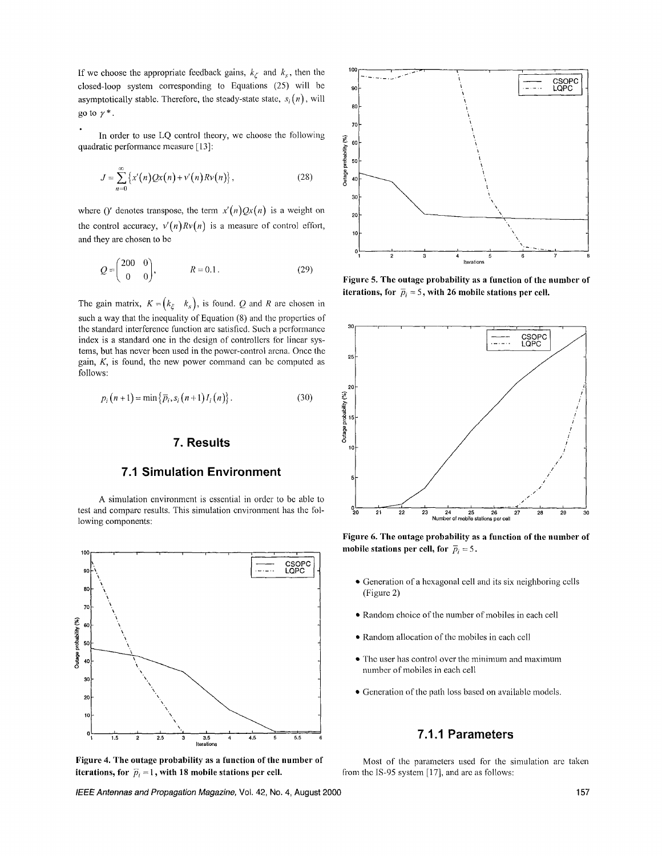If we choose the appropriate feedback gains,  $k_c$  and  $k_s$ , then the closed-loop system corresponding to Equations (25) will be asymptotically stable. Therefore, the steady-state state,  $s_i(n)$ , will go to  $\gamma^*$ .

In order to use LQ control theory, we choose the following quadratic performance measure [13]:

$$
J = \sum_{n=0}^{\infty} \left\{ x'(n) Qx(n) + v'(n) Rv(n) \right\},\qquad(28)
$$

where ()' denotes transpose, the term  $x'(n)Qx(n)$  is a weight on the control accuracy,  $v'(n)Rv(n)$  is a measure of control effort, and they are chosen to be

$$
Q = \begin{pmatrix} 200 & 0 \\ 0 & 0 \end{pmatrix}, \qquad R = 0.1. \tag{29}
$$

The gain matrix,  $K = (k_{\xi} \mid k_{s})$ , is found. *Q* and *R* are chosen in such a way that the inequality of Equation (8) and the properties of the standard interference function arc satisficd. Such a pcrformance index is a standard one in the design of controllcrs for lincar systems, but has never been used in the powcr-control arcna. Once the gain, *K,* is found, the new power command can bc computed as follows:

$$
p_i(n+1) = \min\left\{\overline{p}_i, s_i(n+1)I_i(n)\right\}.
$$
 (30)

#### **7. Results**

#### **7.1 Simulation Environment**

A simulation environment is essential in order to be able to test and comparc results. This simulation cnvironment has the following components:



Figure 4. The outage probability as a function of the number of iterations, for  $\overline{p}_i = 1$ , with 18 mobile stations per cell.

*EEEAnfennas and Propagation Magazine,* Vol. 42, No. **4,** August 2000 157



**Figure 5. The outage probability as a function of the number of iterations, for**  $\overline{p_i} = 5$ , with 26 mobile stations per cell.



**Figure 6. The outage probability as a function of the number of**  mobile stations per cell, for  $\overline{p}_i = 5$ .

- Generation of a hcxagonal cell and its six neighboring cells (Figurc 2)
- Random choice of the number of mobiles in each cell
- Random allocation of thc mobiles in each cell
- Thc user *has* control over thc minimum and maximum numbcr of mobiles in each cell
- Gencration of thc path loss bascd on available models.

#### **7.1 .I Parameters**

Most of the parameters used for the simulation arc taken from the IS-95 system [17], and are as follows: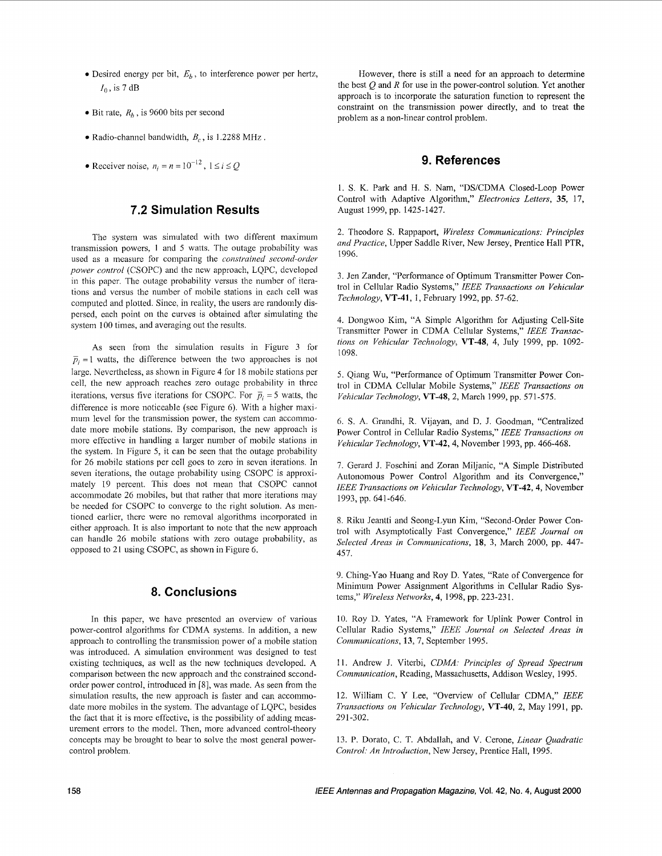- $\bullet$  Desired energy per bit,  $E<sub>b</sub>$ , to interference power per hertz, *I,,* is 7 dB
- $\bullet$  Bit rate,  $R_b$ , is 9600 bits per second
- Radio-channel bandwidth,  $B_c$ , is 1.2288 MHz.
- Receiver noise,  $n_i = n = 10^{-12}$ ,  $1 \le i \le Q$

#### **7.2 Simulation Results**

The system was simulated with two different maximum transmission powers, 1 and *5* watts. The outage probability was used as a measure for comparing the *constrained second-order power control* (CSOPC) and the new approach, LQPC, developed in this paper. The outage probability versus the number of iterations and versus the number of mobile stations in each cell was computed and plotted. Since, in reality, the users are randomly dispersed, each point on the curves is obtained after simulating the system 100 times, and averaging out the results.

As seen from the simulation results in Figure 3 for  $\overline{p}_i = 1$  watts, the difference between the two approaches is not large. Nevertheless, as shown in Figure 4 for 18 mobile stations pcr cell, the new approach reaches zero outagc probability in three iterations, versus five iterations for CSOPC. For  $\bar{p}_i = 5$  watts, the difference is more noticeable (see Figure 6). With a higher maximum level for the transmission power, the system can accommodate more mobile stations. By comparison, the new approach is morc effective in handling a larger number of mobile stations in the system. In Figure *5,* it can be seen that the outage probability for 26 mobile stations per cell goes to zero in seven iterations. In seven iterations, the outage probability using CSOPC is approximately 19 percent. This does not mean that CSOPC cannot accommodate 26 mobiles, but that rather that more iterations may be needed for CSOPC to converge to the right solution. As mentioned earlier, there were no removal algorithms incorporated in cither approach. It is also important to note that the new approach can handle 26 mobile stations with zero outage probability, as opposed to 21 using CSOPC, as shown in Figure 6.

#### **8. Conclusions**

In this paper, we havc presentcd an overview of various power-control algorithms for CDMA systems. In addition, a new approach to controlling the transmission power of a mobile station was introduced. **A** simulation environment was designed to test existing techniques, as well as the new techniques developed. **A**  comparison between the new approach and the constrained secondorder power control, introduced in [8], was made. As seen from the simulation results, the new approach is faster and can accommodate more mobiles in the system. The advantage of LQPC, besides the fact that it is more effective, is the possibility of adding measurement errors to the model. Then, more advanced control-theory concepts inay be brought to bear to solve the most general powercontrol problem.

However, there is still a need for an approach to determine the best Q and *R* for use in the power-control solution. Yet another approach is to incorporate the saturation function to represent the constraint on the transmission power directly, and to treat the problem as a non-linear control problem.

#### **9. References**

1. S. K. Park and H. S. Nam, "DS/CDMA Closed-Loop Power Control with Adaptive Algorithm," *Electronics Letters,* **35,** 17, August 1999, pp. 1425-1427.

2. Theodore S. Rappaport, *Wireless Communications: Principles and Practice,* Upper Saddle River, New Jersey, Prentice Hall PTR, 1996.

3. Jen Zander, "Performance of Optimum Transmitter Power Control in Cellular Radio Systems," *IEEE Transactions on Vehicular Technology,* VT-41, 1, Febniary 1992, pp. 57-62.

4. Dongwoo Kim, **"A** Simple Algorithm for Adjusting Cell-Site Transmitter Power in CDMA Cellular Systems," *IEEE Transactions on Vehicular Technology,* VT-48, 4, July 1999, pp. 1092- 1098.

*5.* Qiang Wu, "Performance of Optimum Transmitter Power Control in CDMA Cellular Mobile Systems," *IEEE Transactions on Vehicular Technology,* VT-48,2, March 1999, pp. 571-575.

6. S. A. Grandhi, R. Vijayan, and D. J. Goodman, "Centralized Power Control in Cellular Radio Systems," *IEEE Transactions on Vehicular Technology,* VT-42,4, November 1993, pp. 466-468.

7. Gerard J. Foschini and Zoran Miljanic, **"A** Simple Distributed Autonomous Power Control Algorithm and its Convergence," *IEEE Transactions on Vehicular Technology,* VT-42, 4, November 1993, pp. 641-646.

8. Riku Jeantti and Seong-Lyun Kim, "Second-Order Power Control with Asymptotically Fast Convergence," *IEEE Journal on Selected Areas in Communications,* **18,** 3, March 2000, pp. 447- 457.

9. Ching-Yao Huang and Roy D. Yates, "Rate of Convergence for Minimum Power Assignment Algorithms in Cellular Radio Systems," *Wireless Networks,* 4, 1998, pp. 223-231.

10. Roy D. Yates, **"A** Framework for Uplink Power Control in Cellular Radio Systems," *IEEE Journal on Selected Areas in Communications,* **13,** 7, September 1995.

11. Andrew J. Viterbi, *CDMA: Principles of Spread Spectrum Communication,* Reading, Massachusetts, Addison Wesley, 1995.

12. William C. Y Lee, "Overview of Cellular CDMA," IEEE *Transactions on Vehicular Technology,* VT-40, 2, May 1991, pp. 291-302.

13. P. Dorato, C. T. Abdallah, and V. Cerone, *Linear Quadratic Control: An Introduction, New Jersey, Prentice Hall, 1995.*